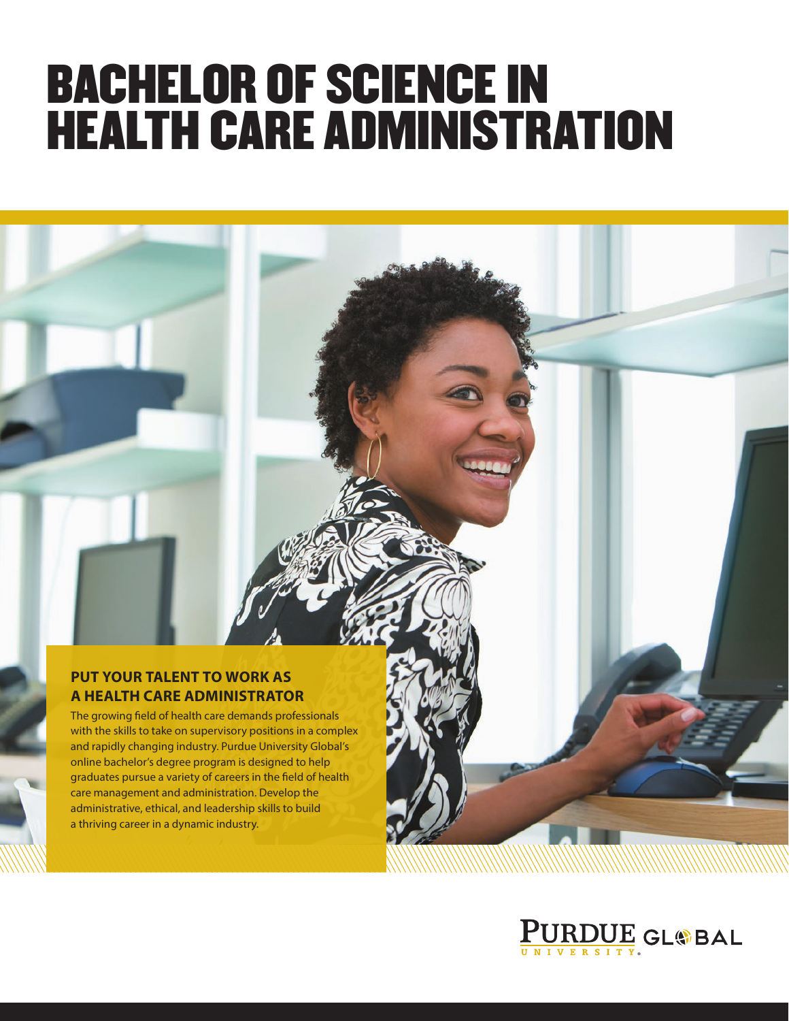# BACHELOR OF SCIENCE IN HEALTH CARE ADMINISTRATION

#### **PUT YOUR TALENT TO WORK AS A HEALTH CARE ADMINISTRATOR**

The growing field of health care demands professionals with the skills to take on supervisory positions in a complex and rapidly changing industry. Purdue University Global's online bachelor's degree program is designed to help graduates pursue a variety of careers in the field of health care management and administration. Develop the administrative, ethical, and leadership skills to build a thriving career in a dynamic industry.

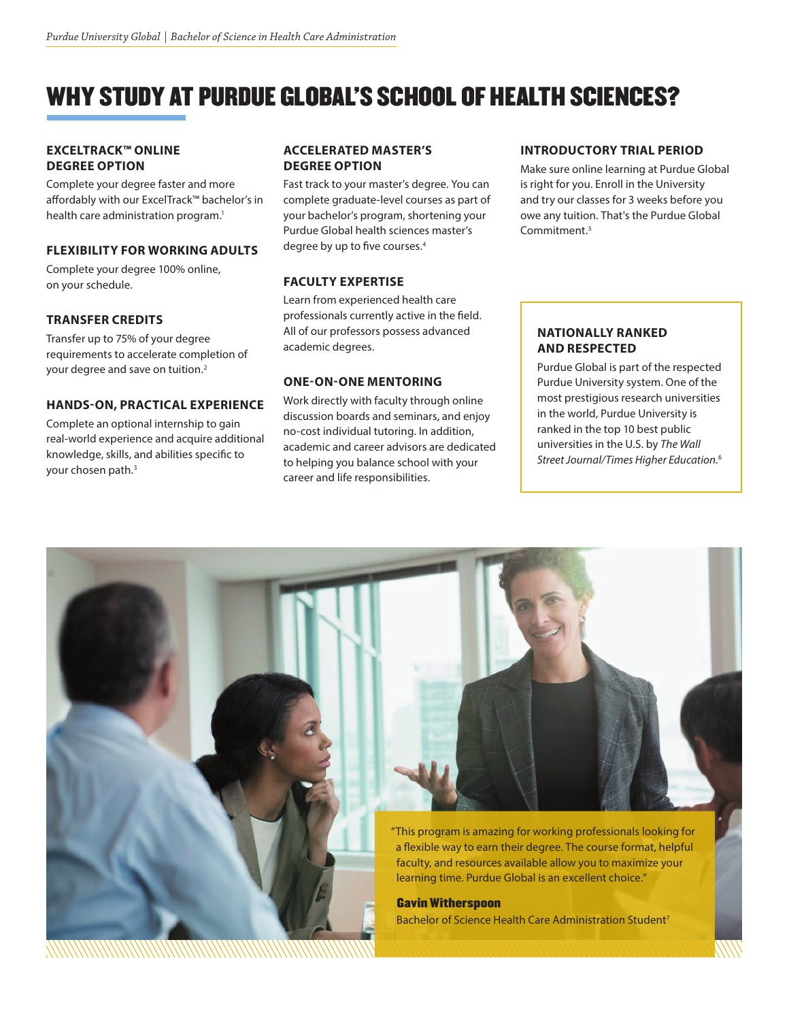### WHY STUDY AT PURDUE GLOBAL'S SCHOOL OF HEALTH SCIENCES?

#### **EXCELTRACK™ ONLINE DEGREE OPTION**

Complete your degree faster and more affordably with our ExcelTrack™ bachelor's in health care administration program.<sup>1</sup>

#### **FLEXIBILITY FOR WORKING ADULTS**

Complete your degree 100% online, on your schedule.

#### **TRANSFER CREDITS**

Transfer up to 75% of your degree requirements to accelerate completion of your degree and save on tuition.<sup>2</sup>

#### **HANDS-ON, PRACTICAL EXPERIENCE**

Complete an optional internship to gain real-world experience and acquire additional knowledge, skills, and abilities specific to your chosen path.<sup>3</sup>

#### **ACCELERATED MASTER'S DEGREE OPTION**

Fast track to your master's degree. You can complete graduate-level courses as part of your bachelor's program, shortening your Purdue Global health sciences master's degree by up to five courses.4

#### **FACULTY EXPERTISE**

Learn from experienced health care professionals currently active in the field. All of our professors possess advanced academic degrees.

#### **ONE-ON-ONE MENTORING**

Work directly with faculty through online discussion boards and seminars, and enjoy no-cost individual tutoring. In addition, academic and career advisors are dedicated to helping you balance school with your career and life responsibilities.

#### **INTRODUCTORY TRIAL PERIOD**

Make sure online learning at Purdue Global is right for you. Enroll in the University and try our classes for 3 weeks before you owe any tuition. That's the Purdue Global Commitment.5

#### **NATIONALLY RANKED AND RESPECTED**

Purdue Global is part of the respected Purdue University system. One of the most prestigious research universities in the world, Purdue University is ranked in the top 10 best public universities in the U.S. by *The Wall Street Journal/Times Higher Education.*<sup>6</sup>

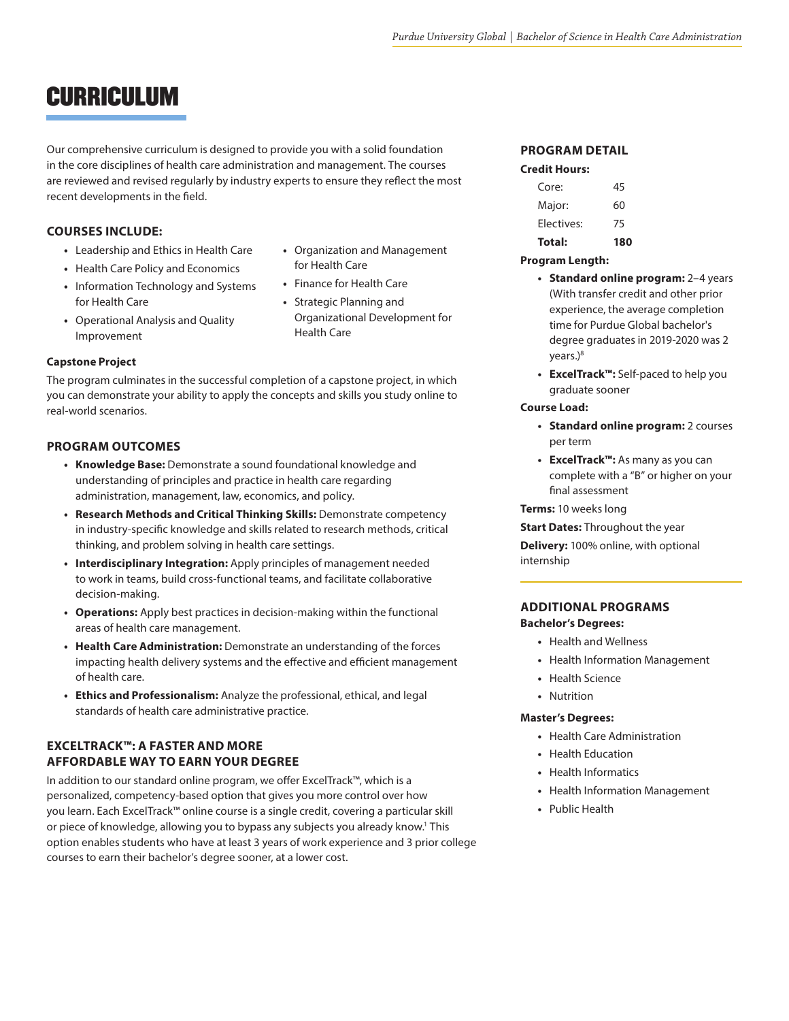### CURRICULUM

Our comprehensive curriculum is designed to provide you with a solid foundation in the core disciplines of health care administration and management. The courses are reviewed and revised regularly by industry experts to ensure they reflect the most recent developments in the field.

**•** Organization and Management

for Health Care **•** Finance for Health Care

#### **COURSES INCLUDE:**

- **•** Leadership and Ethics in Health Care
- **•** Health Care Policy and Economics
- **•** Information Technology and Systems for Health Care
- **•** Operational Analysis and Quality Improvement

#### **Capstone Project**

The program culminates in the successful completion of a capstone project, in which you can demonstrate your ability to apply the concepts and skills you study online to real-world scenarios.

#### **PROGRAM OUTCOMES**

- **• Knowledge Base:** Demonstrate a sound foundational knowledge and understanding of principles and practice in health care regarding administration, management, law, economics, and policy.
- **• Research Methods and Critical Thinking Skills:** Demonstrate competency in industry-specific knowledge and skills related to research methods, critical thinking, and problem solving in health care settings.
- **• Interdisciplinary Integration:** Apply principles of management needed to work in teams, build cross-functional teams, and facilitate collaborative decision-making.
- **• Operations:** Apply best practices in decision-making within the functional areas of health care management.
- **• Health Care Administration:** Demonstrate an understanding of the forces impacting health delivery systems and the effective and efficient management of health care.
- **• Ethics and Professionalism:** Analyze the professional, ethical, and legal standards of health care administrative practice.

#### **EXCELTRACK™: A FASTER AND MORE AFFORDABLE WAY TO EARN YOUR DEGREE**

In addition to our standard online program, we offer ExcelTrack™, which is a personalized, competency-based option that gives you more control over how you learn. Each ExcelTrack™ online course is a single credit, covering a particular skill or piece of knowledge, allowing you to bypass any subjects you already know.<sup>1</sup> This option enables students who have at least 3 years of work experience and 3 prior college courses to earn their bachelor's degree sooner, at a lower cost.

#### **PROGRAM DETAIL Credit Hours:**

| Total:     | 180 |
|------------|-----|
| Electives: | 75  |
| Major:     | 60  |
| Core:      | 45  |
|            |     |

#### **Program Length:**

- **• Standard online program:** 2–4 years (With transfer credit and other prior experience, the average completion time for Purdue Global bachelor's degree graduates in 2019-2020 was 2 years.)<sup>8</sup>
- **• ExcelTrack™:** Self-paced to help you graduate sooner

#### **Course Load:**

- **• Standard online program:** 2 courses per term
- **• ExcelTrack™:** As many as you can complete with a "B" or higher on your final assessment

#### **Terms:** 10 weeks long

**Start Dates:** Throughout the year

**Delivery:** 100% online, with optional internship

#### **ADDITIONAL PROGRAMS Bachelor's Degrees:**

- **•** Health and Wellness
- **•** Health Information Management
- **•** Health Science
- **•** Nutrition

#### **Master's Degrees:**

- **•** Health Care Administration
- **•** Health Education
- **•** Health Informatics
- **•** Health Information Management
- **•** Public Health

**•** Strategic Planning and Organizational Development for Health Care